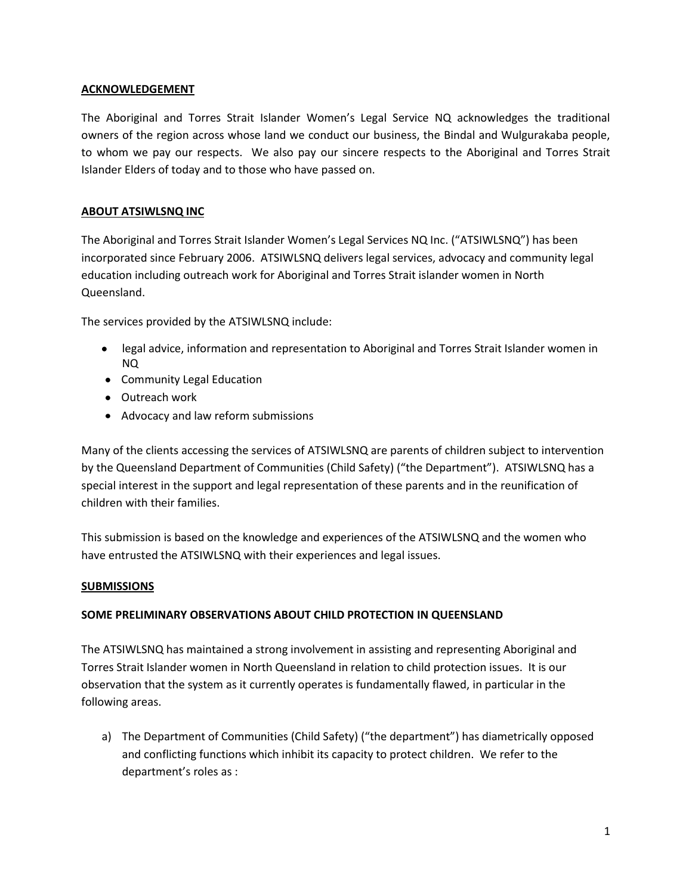### **ACKNOWLEDGEMENT**

The Aboriginal and Torres Strait Islander Women's Legal Service NQ acknowledges the traditional owners of the region across whose land we conduct our business, the Bindal and Wulgurakaba people, to whom we pay our respects. We also pay our sincere respects to the Aboriginal and Torres Strait Islander Elders of today and to those who have passed on.

### **ABOUT ATSIWLSNQ INC**

The Aboriginal and Torres Strait Islander Women's Legal Services NQ Inc. ("ATSIWLSNQ") has been incorporated since February 2006. ATSIWLSNQ delivers legal services, advocacy and community legal education including outreach work for Aboriginal and Torres Strait islander women in North Queensland.

The services provided by the ATSIWLSNQ include:

- legal advice, information and representation to Aboriginal and Torres Strait Islander women in NQ
- Community Legal Education
- Outreach work
- Advocacy and law reform submissions

Many of the clients accessing the services of ATSIWLSNQ are parents of children subject to intervention by the Queensland Department of Communities (Child Safety) ("the Department"). ATSIWLSNQ has a special interest in the support and legal representation of these parents and in the reunification of children with their families.

This submission is based on the knowledge and experiences of the ATSIWLSNQ and the women who have entrusted the ATSIWLSNQ with their experiences and legal issues.

### **SUBMISSIONS**

## **SOME PRELIMINARY OBSERVATIONS ABOUT CHILD PROTECTION IN QUEENSLAND**

The ATSIWLSNQ has maintained a strong involvement in assisting and representing Aboriginal and Torres Strait Islander women in North Queensland in relation to child protection issues. It is our observation that the system as it currently operates is fundamentally flawed, in particular in the following areas.

a) The Department of Communities (Child Safety) ("the department") has diametrically opposed and conflicting functions which inhibit its capacity to protect children. We refer to the department's roles as :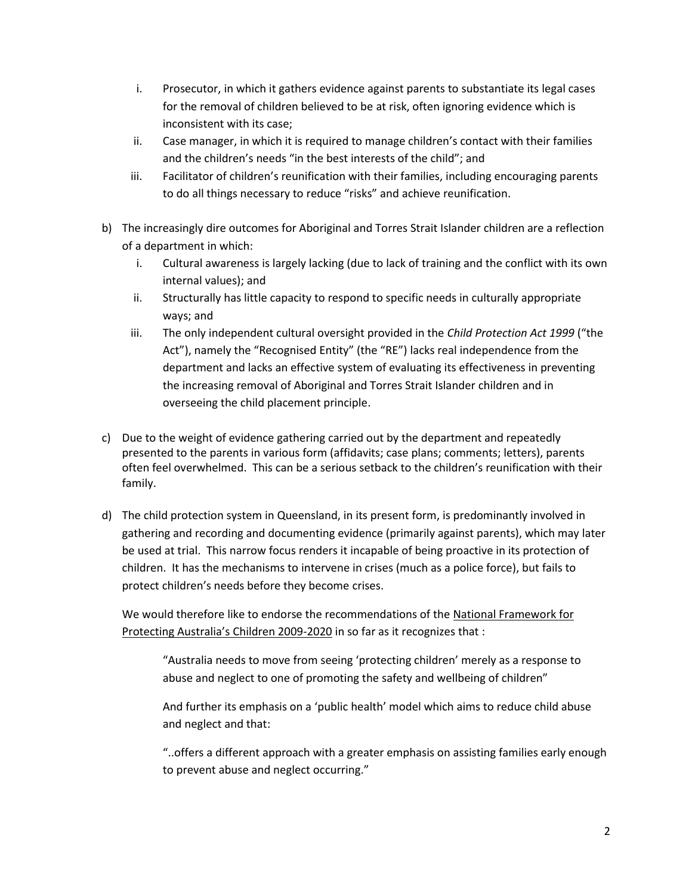- i. Prosecutor, in which it gathers evidence against parents to substantiate its legal cases for the removal of children believed to be at risk, often ignoring evidence which is inconsistent with its case;
- ii. Case manager, in which it is required to manage children's contact with their families and the children's needs "in the best interests of the child"; and
- iii. Facilitator of children's reunification with their families, including encouraging parents to do all things necessary to reduce "risks" and achieve reunification.
- b) The increasingly dire outcomes for Aboriginal and Torres Strait Islander children are a reflection of a department in which:
	- i. Cultural awareness is largely lacking (due to lack of training and the conflict with its own internal values); and
	- ii. Structurally has little capacity to respond to specific needs in culturally appropriate ways; and
	- iii. The only independent cultural oversight provided in the *Child Protection Act 1999* ("the Act"), namely the "Recognised Entity" (the "RE") lacks real independence from the department and lacks an effective system of evaluating its effectiveness in preventing the increasing removal of Aboriginal and Torres Strait Islander children and in overseeing the child placement principle.
- c) Due to the weight of evidence gathering carried out by the department and repeatedly presented to the parents in various form (affidavits; case plans; comments; letters), parents often feel overwhelmed. This can be a serious setback to the children's reunification with their family.
- d) The child protection system in Queensland, in its present form, is predominantly involved in gathering and recording and documenting evidence (primarily against parents), which may later be used at trial. This narrow focus renders it incapable of being proactive in its protection of children. It has the mechanisms to intervene in crises (much as a police force), but fails to protect children's needs before they become crises.

We would therefore like to endorse the recommendations of the National Framework for Protecting Australia's Children 2009-2020 in so far as it recognizes that :

"Australia needs to move from seeing 'protecting children' merely as a response to abuse and neglect to one of promoting the safety and wellbeing of children"

And further its emphasis on a 'public health' model which aims to reduce child abuse and neglect and that:

"..offers a different approach with a greater emphasis on assisting families early enough to prevent abuse and neglect occurring."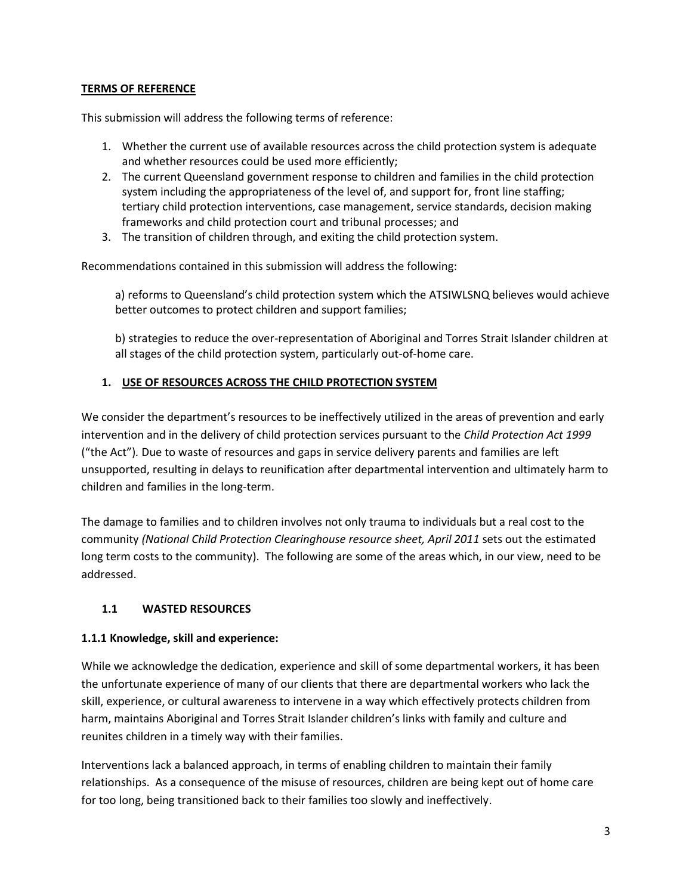## **TERMS OF REFERENCE**

This submission will address the following terms of reference:

- 1. Whether the current use of available resources across the child protection system is adequate and whether resources could be used more efficiently;
- 2. The current Queensland government response to children and families in the child protection system including the appropriateness of the level of, and support for, front line staffing; tertiary child protection interventions, case management, service standards, decision making frameworks and child protection court and tribunal processes; and
- 3. The transition of children through, and exiting the child protection system.

Recommendations contained in this submission will address the following:

a) reforms to Queensland's child protection system which the ATSIWLSNQ believes would achieve better outcomes to protect children and support families;

b) strategies to reduce the over-representation of Aboriginal and Torres Strait Islander children at all stages of the child protection system, particularly out-of-home care.

## **1. USE OF RESOURCES ACROSS THE CHILD PROTECTION SYSTEM**

We consider the department's resources to be ineffectively utilized in the areas of prevention and early intervention and in the delivery of child protection services pursuant to the *Child Protection Act 1999* ("the Act")*.* Due to waste of resources and gaps in service delivery parents and families are left unsupported, resulting in delays to reunification after departmental intervention and ultimately harm to children and families in the long-term.

The damage to families and to children involves not only trauma to individuals but a real cost to the community *(National Child Protection Clearinghouse resource sheet, April 2011* sets out the estimated long term costs to the community). The following are some of the areas which, in our view, need to be addressed.

## **1.1 WASTED RESOURCES**

## **1.1.1 Knowledge, skill and experience:**

While we acknowledge the dedication, experience and skill of some departmental workers, it has been the unfortunate experience of many of our clients that there are departmental workers who lack the skill, experience, or cultural awareness to intervene in a way which effectively protects children from harm, maintains Aboriginal and Torres Strait Islander children's links with family and culture and reunites children in a timely way with their families.

Interventions lack a balanced approach, in terms of enabling children to maintain their family relationships. As a consequence of the misuse of resources, children are being kept out of home care for too long, being transitioned back to their families too slowly and ineffectively.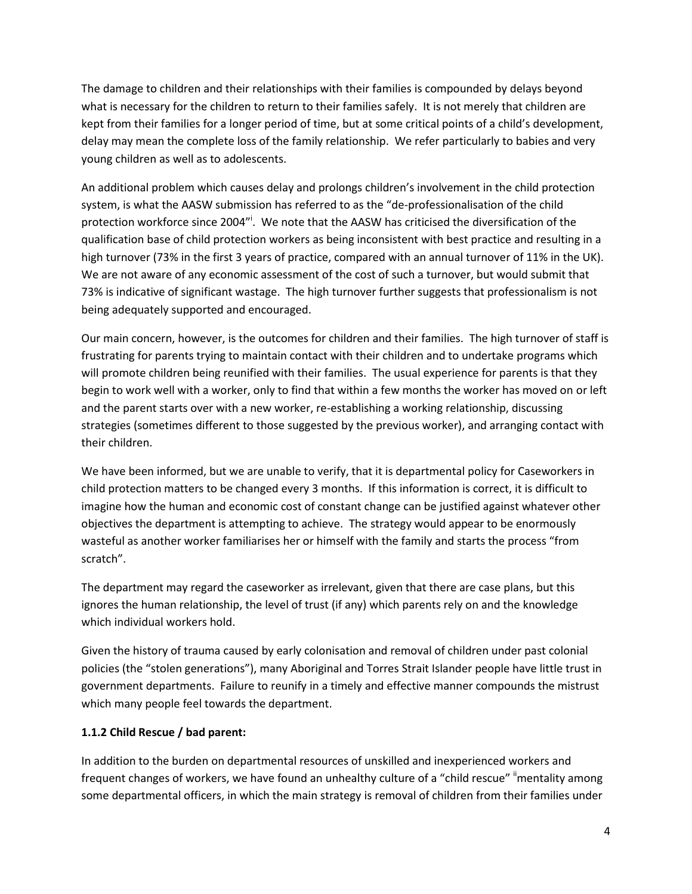The damage to children and their relationships with their families is compounded by delays beyond what is necessary for the children to return to their families safely. It is not merely that children are kept from their families for a longer period of time, but at some critical points of a child's development, delay may mean the complete loss of the family relationship. We refer particularly to babies and very young children as well as to adolescents.

An additional problem which causes delay and prolongs children's involvement in the child protection system, is what the AASW submission has referred to as the "de-professionalisation of the child protection workforce since 2004"<sup>1</sup>. We note that the AASW has criticised the diversification of the qualification base of child protection workers as being inconsistent with best practice and resulting in a high turnover (73% in the first 3 years of practice, compared with an annual turnover of 11% in the UK). We are not aware of any economic assessment of the cost of such a turnover, but would submit that 73% is indicative of significant wastage. The high turnover further suggests that professionalism is not being adequately supported and encouraged.

Our main concern, however, is the outcomes for children and their families. The high turnover of staff is frustrating for parents trying to maintain contact with their children and to undertake programs which will promote children being reunified with their families. The usual experience for parents is that they begin to work well with a worker, only to find that within a few months the worker has moved on or left and the parent starts over with a new worker, re-establishing a working relationship, discussing strategies (sometimes different to those suggested by the previous worker), and arranging contact with their children.

We have been informed, but we are unable to verify, that it is departmental policy for Caseworkers in child protection matters to be changed every 3 months. If this information is correct, it is difficult to imagine how the human and economic cost of constant change can be justified against whatever other objectives the department is attempting to achieve. The strategy would appear to be enormously wasteful as another worker familiarises her or himself with the family and starts the process "from scratch".

The department may regard the caseworker as irrelevant, given that there are case plans, but this ignores the human relationship, the level of trust (if any) which parents rely on and the knowledge which individual workers hold.

Given the history of trauma caused by early colonisation and removal of children under past colonial policies (the "stolen generations"), many Aboriginal and Torres Strait Islander people have little trust in government departments. Failure to reunify in a timely and effective manner compounds the mistrust which many people feel towards the department.

## **1.1.2 Child Rescue / bad parent:**

In addition to the burden on departmental resources of unskilled and inexperienced workers and frequent changes of workers, we have found an unhealthy culture of a "child rescue" "mentality among some departmental officers, in which the main strategy is removal of children from their families under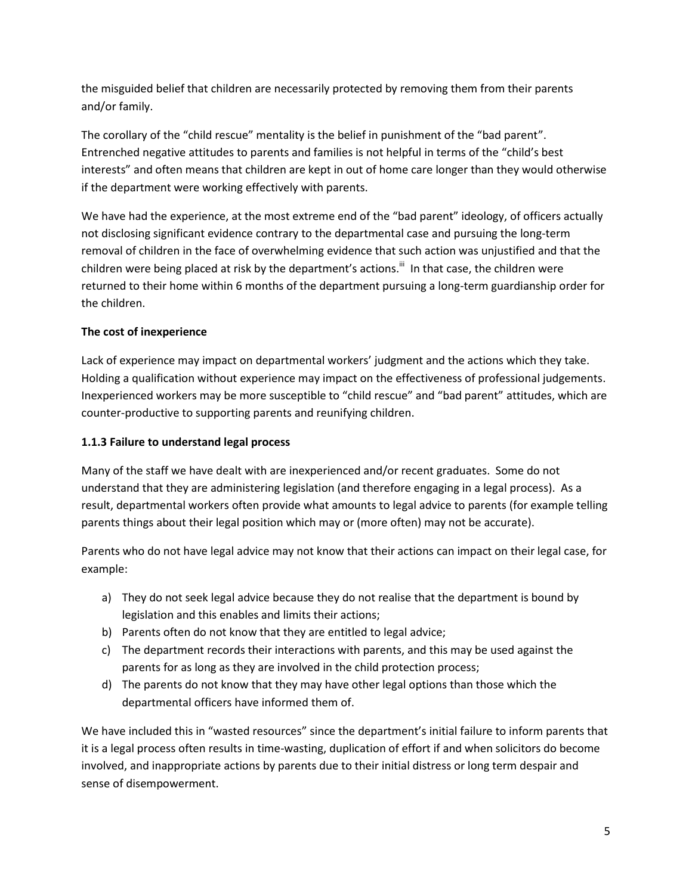the misguided belief that children are necessarily protected by removing them from their parents and/or family.

The corollary of the "child rescue" mentality is the belief in punishment of the "bad parent". Entrenched negative attitudes to parents and families is not helpful in terms of the "child's best interests" and often means that children are kept in out of home care longer than they would otherwise if the department were working effectively with parents.

We have had the experience, at the most extreme end of the "bad parent" ideology, of officers actually not disclosing significant evidence contrary to the departmental case and pursuing the long-term removal of children in the face of overwhelming evidence that such action was unjustified and that the children were being placed at risk by the department's actions.<sup>iii</sup> In that case, the children were returned to their home within 6 months of the department pursuing a long-term guardianship order for the children.

## **The cost of inexperience**

Lack of experience may impact on departmental workers' judgment and the actions which they take. Holding a qualification without experience may impact on the effectiveness of professional judgements. Inexperienced workers may be more susceptible to "child rescue" and "bad parent" attitudes, which are counter-productive to supporting parents and reunifying children.

## **1.1.3 Failure to understand legal process**

Many of the staff we have dealt with are inexperienced and/or recent graduates. Some do not understand that they are administering legislation (and therefore engaging in a legal process). As a result, departmental workers often provide what amounts to legal advice to parents (for example telling parents things about their legal position which may or (more often) may not be accurate).

Parents who do not have legal advice may not know that their actions can impact on their legal case, for example:

- a) They do not seek legal advice because they do not realise that the department is bound by legislation and this enables and limits their actions;
- b) Parents often do not know that they are entitled to legal advice;
- c) The department records their interactions with parents, and this may be used against the parents for as long as they are involved in the child protection process;
- d) The parents do not know that they may have other legal options than those which the departmental officers have informed them of.

We have included this in "wasted resources" since the department's initial failure to inform parents that it is a legal process often results in time-wasting, duplication of effort if and when solicitors do become involved, and inappropriate actions by parents due to their initial distress or long term despair and sense of disempowerment.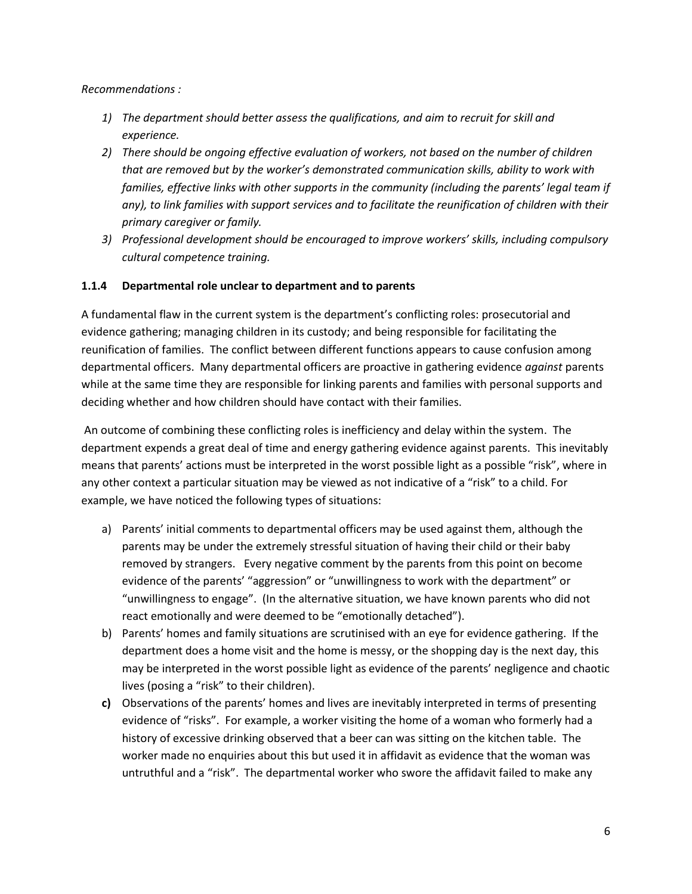*Recommendations :* 

- *1) The department should better assess the qualifications, and aim to recruit for skill and experience.*
- *2) There should be ongoing effective evaluation of workers, not based on the number of children that are removed but by the worker's demonstrated communication skills, ability to work with families, effective links with other supports in the community (including the parents' legal team if any), to link families with support services and to facilitate the reunification of children with their primary caregiver or family.*
- *3) Professional development should be encouraged to improve workers' skills, including compulsory cultural competence training.*

## **1.1.4 Departmental role unclear to department and to parents**

A fundamental flaw in the current system is the department's conflicting roles: prosecutorial and evidence gathering; managing children in its custody; and being responsible for facilitating the reunification of families. The conflict between different functions appears to cause confusion among departmental officers. Many departmental officers are proactive in gathering evidence *against* parents while at the same time they are responsible for linking parents and families with personal supports and deciding whether and how children should have contact with their families.

An outcome of combining these conflicting roles is inefficiency and delay within the system. The department expends a great deal of time and energy gathering evidence against parents. This inevitably means that parents' actions must be interpreted in the worst possible light as a possible "risk", where in any other context a particular situation may be viewed as not indicative of a "risk" to a child. For example, we have noticed the following types of situations:

- a) Parents' initial comments to departmental officers may be used against them, although the parents may be under the extremely stressful situation of having their child or their baby removed by strangers. Every negative comment by the parents from this point on become evidence of the parents' "aggression" or "unwillingness to work with the department" or "unwillingness to engage". (In the alternative situation, we have known parents who did not react emotionally and were deemed to be "emotionally detached").
- b) Parents' homes and family situations are scrutinised with an eye for evidence gathering. If the department does a home visit and the home is messy, or the shopping day is the next day, this may be interpreted in the worst possible light as evidence of the parents' negligence and chaotic lives (posing a "risk" to their children).
- **c)** Observations of the parents' homes and lives are inevitably interpreted in terms of presenting evidence of "risks". For example, a worker visiting the home of a woman who formerly had a history of excessive drinking observed that a beer can was sitting on the kitchen table. The worker made no enquiries about this but used it in affidavit as evidence that the woman was untruthful and a "risk". The departmental worker who swore the affidavit failed to make any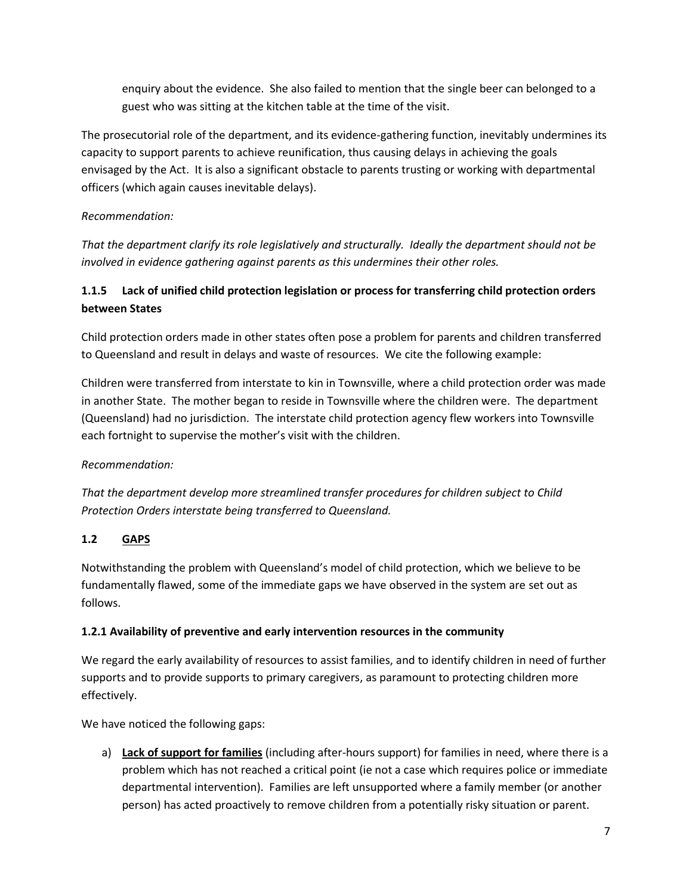enquiry about the evidence. She also failed to mention that the single beer can belonged to a guest who was sitting at the kitchen table at the time of the visit.

The prosecutorial role of the department, and its evidence-gathering function, inevitably undermines its capacity to support parents to achieve reunification, thus causing delays in achieving the goals envisaged by the Act. It is also a significant obstacle to parents trusting or working with departmental officers (which again causes inevitable delays).

## *Recommendation:*

*That the department clarify its role legislatively and structurally. Ideally the department should not be involved in evidence gathering against parents as this undermines their other roles.*

# **1.1.5 Lack of unified child protection legislation or process for transferring child protection orders between States**

Child protection orders made in other states often pose a problem for parents and children transferred to Queensland and result in delays and waste of resources. We cite the following example:

Children were transferred from interstate to kin in Townsville, where a child protection order was made in another State. The mother began to reside in Townsville where the children were. The department (Queensland) had no jurisdiction. The interstate child protection agency flew workers into Townsville each fortnight to supervise the mother's visit with the children.

# *Recommendation:*

*That the department develop more streamlined transfer procedures for children subject to Child Protection Orders interstate being transferred to Queensland.*

# **1.2 GAPS**

Notwithstanding the problem with Queensland's model of child protection, which we believe to be fundamentally flawed, some of the immediate gaps we have observed in the system are set out as follows.

## **1.2.1 Availability of preventive and early intervention resources in the community**

We regard the early availability of resources to assist families, and to identify children in need of further supports and to provide supports to primary caregivers, as paramount to protecting children more effectively.

We have noticed the following gaps:

a) **Lack of support for families** (including after-hours support) for families in need, where there is a problem which has not reached a critical point (ie not a case which requires police or immediate departmental intervention). Families are left unsupported where a family member (or another person) has acted proactively to remove children from a potentially risky situation or parent.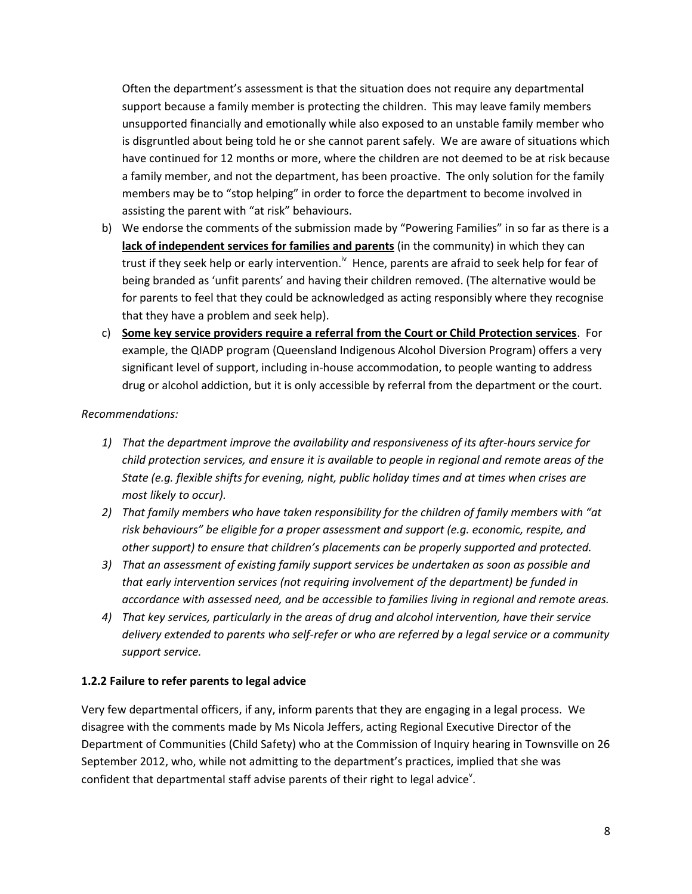Often the department's assessment is that the situation does not require any departmental support because a family member is protecting the children. This may leave family members unsupported financially and emotionally while also exposed to an unstable family member who is disgruntled about being told he or she cannot parent safely. We are aware of situations which have continued for 12 months or more, where the children are not deemed to be at risk because a family member, and not the department, has been proactive. The only solution for the family members may be to "stop helping" in order to force the department to become involved in assisting the parent with "at risk" behaviours.

- b) We endorse the comments of the submission made by "Powering Families" in so far as there is a **lack of independent services for families and parents** (in the community) in which they can trust if they seek help or early intervention.<sup>iv</sup> Hence, parents are afraid to seek help for fear of being branded as 'unfit parents' and having their children removed. (The alternative would be for parents to feel that they could be acknowledged as acting responsibly where they recognise that they have a problem and seek help).
- c) **Some key service providers require a referral from the Court or Child Protection services**. For example, the QIADP program (Queensland Indigenous Alcohol Diversion Program) offers a very significant level of support, including in-house accommodation, to people wanting to address drug or alcohol addiction, but it is only accessible by referral from the department or the court.

### *Recommendations:*

- *1) That the department improve the availability and responsiveness of its after-hours service for child protection services, and ensure it is available to people in regional and remote areas of the State (e.g. flexible shifts for evening, night, public holiday times and at times when crises are most likely to occur).*
- *2) That family members who have taken responsibility for the children of family members with "at risk behaviours" be eligible for a proper assessment and support (e.g. economic, respite, and other support) to ensure that children's placements can be properly supported and protected.*
- *3) That an assessment of existing family support services be undertaken as soon as possible and that early intervention services (not requiring involvement of the department) be funded in accordance with assessed need, and be accessible to families living in regional and remote areas.*
- *4) That key services, particularly in the areas of drug and alcohol intervention, have their service delivery extended to parents who self-refer or who are referred by a legal service or a community support service.*

## **1.2.2 Failure to refer parents to legal advice**

Very few departmental officers, if any, inform parents that they are engaging in a legal process. We disagree with the comments made by Ms Nicola Jeffers, acting Regional Executive Director of the Department of Communities (Child Safety) who at the Commission of Inquiry hearing in Townsville on 26 September 2012, who, while not admitting to the department's practices, implied that she was confident that departmental staff advise parents of their right to legal advice<sup>v</sup>.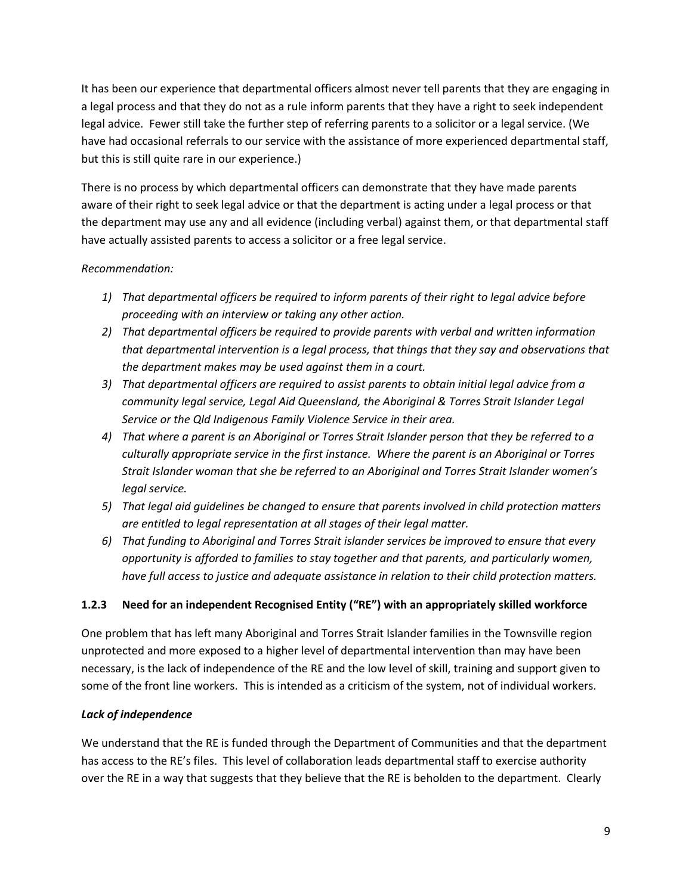It has been our experience that departmental officers almost never tell parents that they are engaging in a legal process and that they do not as a rule inform parents that they have a right to seek independent legal advice. Fewer still take the further step of referring parents to a solicitor or a legal service. (We have had occasional referrals to our service with the assistance of more experienced departmental staff, but this is still quite rare in our experience.)

There is no process by which departmental officers can demonstrate that they have made parents aware of their right to seek legal advice or that the department is acting under a legal process or that the department may use any and all evidence (including verbal) against them, or that departmental staff have actually assisted parents to access a solicitor or a free legal service.

## *Recommendation:*

- *1) That departmental officers be required to inform parents of their right to legal advice before proceeding with an interview or taking any other action.*
- *2) That departmental officers be required to provide parents with verbal and written information that departmental intervention is a legal process, that things that they say and observations that the department makes may be used against them in a court.*
- *3) That departmental officers are required to assist parents to obtain initial legal advice from a community legal service, Legal Aid Queensland, the Aboriginal & Torres Strait Islander Legal Service or the Qld Indigenous Family Violence Service in their area.*
- *4) That where a parent is an Aboriginal or Torres Strait Islander person that they be referred to a culturally appropriate service in the first instance. Where the parent is an Aboriginal or Torres Strait Islander woman that she be referred to an Aboriginal and Torres Strait Islander women's legal service.*
- *5) That legal aid guidelines be changed to ensure that parents involved in child protection matters are entitled to legal representation at all stages of their legal matter.*
- *6) That funding to Aboriginal and Torres Strait islander services be improved to ensure that every opportunity is afforded to families to stay together and that parents, and particularly women, have full access to justice and adequate assistance in relation to their child protection matters.*

# **1.2.3 Need for an independent Recognised Entity ("RE") with an appropriately skilled workforce**

One problem that has left many Aboriginal and Torres Strait Islander families in the Townsville region unprotected and more exposed to a higher level of departmental intervention than may have been necessary, is the lack of independence of the RE and the low level of skill, training and support given to some of the front line workers. This is intended as a criticism of the system, not of individual workers.

## *Lack of independence*

We understand that the RE is funded through the Department of Communities and that the department has access to the RE's files. This level of collaboration leads departmental staff to exercise authority over the RE in a way that suggests that they believe that the RE is beholden to the department. Clearly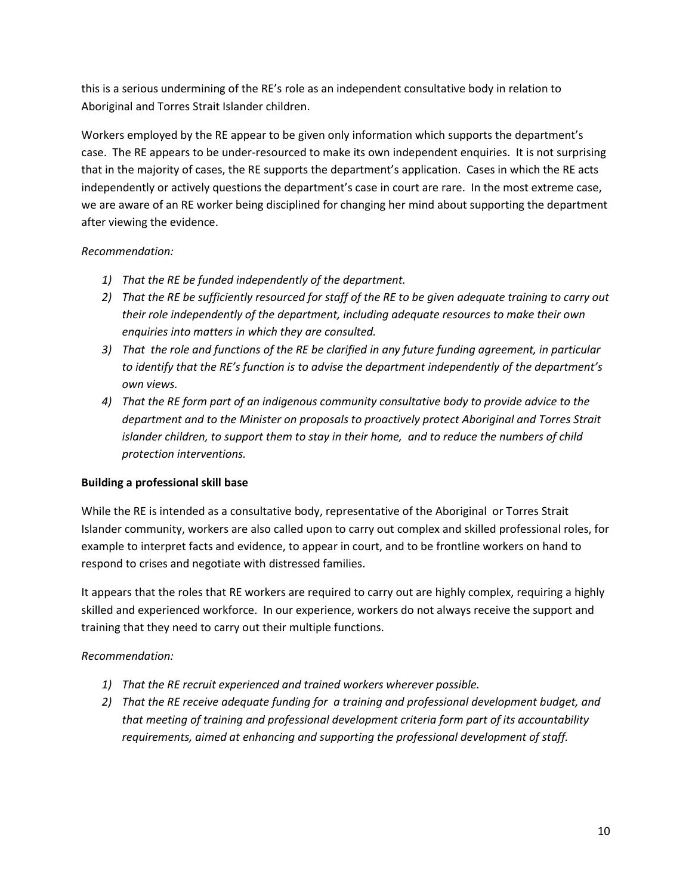this is a serious undermining of the RE's role as an independent consultative body in relation to Aboriginal and Torres Strait Islander children.

Workers employed by the RE appear to be given only information which supports the department's case. The RE appears to be under-resourced to make its own independent enquiries. It is not surprising that in the majority of cases, the RE supports the department's application. Cases in which the RE acts independently or actively questions the department's case in court are rare. In the most extreme case, we are aware of an RE worker being disciplined for changing her mind about supporting the department after viewing the evidence.

## *Recommendation:*

- *1) That the RE be funded independently of the department.*
- *2) That the RE be sufficiently resourced for staff of the RE to be given adequate training to carry out their role independently of the department, including adequate resources to make their own enquiries into matters in which they are consulted.*
- *3) That the role and functions of the RE be clarified in any future funding agreement, in particular to identify that the RE's function is to advise the department independently of the department's own views.*
- *4) That the RE form part of an indigenous community consultative body to provide advice to the department and to the Minister on proposals to proactively protect Aboriginal and Torres Strait islander children, to support them to stay in their home, and to reduce the numbers of child protection interventions.*

## **Building a professional skill base**

While the RE is intended as a consultative body, representative of the Aboriginal or Torres Strait Islander community, workers are also called upon to carry out complex and skilled professional roles, for example to interpret facts and evidence, to appear in court, and to be frontline workers on hand to respond to crises and negotiate with distressed families.

It appears that the roles that RE workers are required to carry out are highly complex, requiring a highly skilled and experienced workforce. In our experience, workers do not always receive the support and training that they need to carry out their multiple functions.

## *Recommendation:*

- *1) That the RE recruit experienced and trained workers wherever possible.*
- *2) That the RE receive adequate funding for a training and professional development budget, and that meeting of training and professional development criteria form part of its accountability requirements, aimed at enhancing and supporting the professional development of staff.*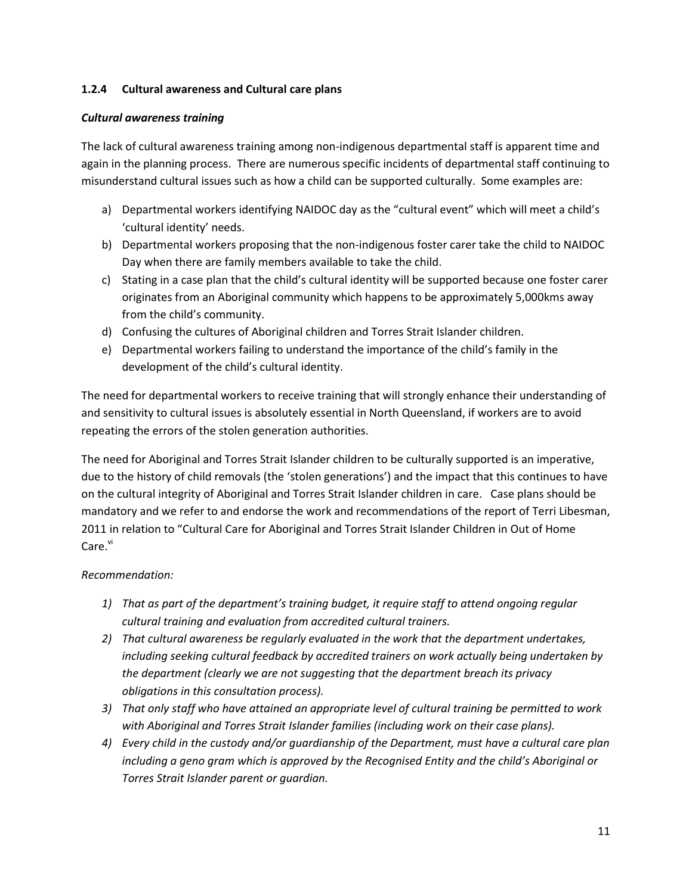### **1.2.4 Cultural awareness and Cultural care plans**

### *Cultural awareness training*

The lack of cultural awareness training among non-indigenous departmental staff is apparent time and again in the planning process. There are numerous specific incidents of departmental staff continuing to misunderstand cultural issues such as how a child can be supported culturally. Some examples are:

- a) Departmental workers identifying NAIDOC day as the "cultural event" which will meet a child's 'cultural identity' needs.
- b) Departmental workers proposing that the non-indigenous foster carer take the child to NAIDOC Day when there are family members available to take the child.
- c) Stating in a case plan that the child's cultural identity will be supported because one foster carer originates from an Aboriginal community which happens to be approximately 5,000kms away from the child's community.
- d) Confusing the cultures of Aboriginal children and Torres Strait Islander children.
- e) Departmental workers failing to understand the importance of the child's family in the development of the child's cultural identity.

The need for departmental workers to receive training that will strongly enhance their understanding of and sensitivity to cultural issues is absolutely essential in North Queensland, if workers are to avoid repeating the errors of the stolen generation authorities.

The need for Aboriginal and Torres Strait Islander children to be culturally supported is an imperative, due to the history of child removals (the 'stolen generations') and the impact that this continues to have on the cultural integrity of Aboriginal and Torres Strait Islander children in care. Case plans should be mandatory and we refer to and endorse the work and recommendations of the report of Terri Libesman, 2011 in relation to "Cultural Care for Aboriginal and Torres Strait Islander Children in Out of Home Care.<sup>vi</sup>

## *Recommendation:*

- *1) That as part of the department's training budget, it require staff to attend ongoing regular cultural training and evaluation from accredited cultural trainers.*
- *2) That cultural awareness be regularly evaluated in the work that the department undertakes, including seeking cultural feedback by accredited trainers on work actually being undertaken by the department (clearly we are not suggesting that the department breach its privacy obligations in this consultation process).*
- *3) That only staff who have attained an appropriate level of cultural training be permitted to work with Aboriginal and Torres Strait Islander families (including work on their case plans).*
- *4) Every child in the custody and/or guardianship of the Department, must have a cultural care plan including a geno gram which is approved by the Recognised Entity and the child's Aboriginal or Torres Strait Islander parent or guardian.*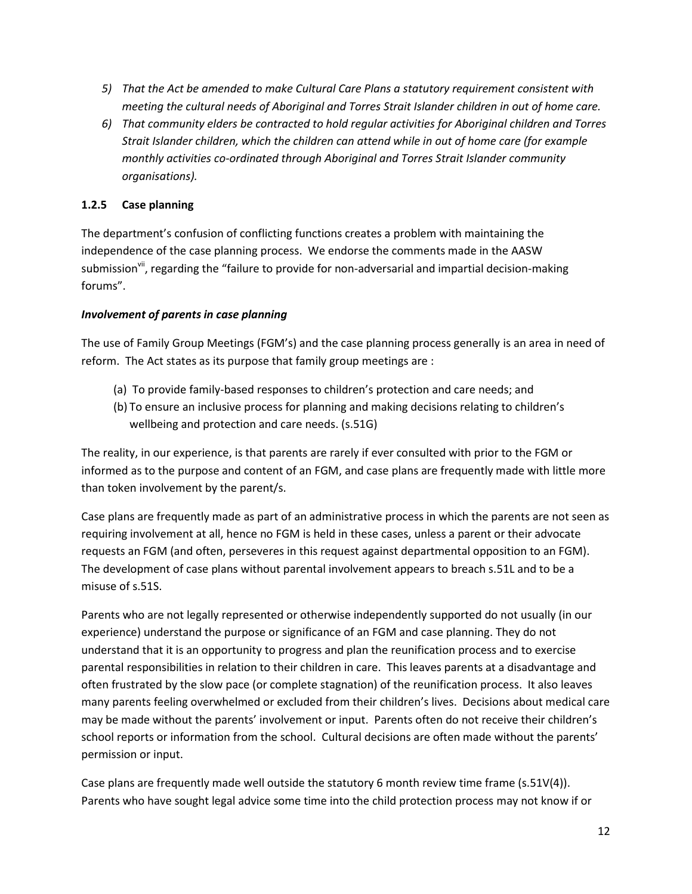- *5) That the Act be amended to make Cultural Care Plans a statutory requirement consistent with meeting the cultural needs of Aboriginal and Torres Strait Islander children in out of home care.*
- *6) That community elders be contracted to hold regular activities for Aboriginal children and Torres Strait Islander children, which the children can attend while in out of home care (for example monthly activities co-ordinated through Aboriginal and Torres Strait Islander community organisations).*

## **1.2.5 Case planning**

The department's confusion of conflicting functions creates a problem with maintaining the independence of the case planning process. We endorse the comments made in the AASW submission<sup>vii</sup>, regarding the "failure to provide for non-adversarial and impartial decision-making forums".

## *Involvement of parents in case planning*

The use of Family Group Meetings (FGM's) and the case planning process generally is an area in need of reform. The Act states as its purpose that family group meetings are :

- (a) To provide family-based responses to children's protection and care needs; and
- (b) To ensure an inclusive process for planning and making decisions relating to children's wellbeing and protection and care needs. (s.51G)

The reality, in our experience, is that parents are rarely if ever consulted with prior to the FGM or informed as to the purpose and content of an FGM, and case plans are frequently made with little more than token involvement by the parent/s.

Case plans are frequently made as part of an administrative process in which the parents are not seen as requiring involvement at all, hence no FGM is held in these cases, unless a parent or their advocate requests an FGM (and often, perseveres in this request against departmental opposition to an FGM). The development of case plans without parental involvement appears to breach s.51L and to be a misuse of s.51S.

Parents who are not legally represented or otherwise independently supported do not usually (in our experience) understand the purpose or significance of an FGM and case planning. They do not understand that it is an opportunity to progress and plan the reunification process and to exercise parental responsibilities in relation to their children in care. This leaves parents at a disadvantage and often frustrated by the slow pace (or complete stagnation) of the reunification process. It also leaves many parents feeling overwhelmed or excluded from their children's lives. Decisions about medical care may be made without the parents' involvement or input. Parents often do not receive their children's school reports or information from the school. Cultural decisions are often made without the parents' permission or input.

Case plans are frequently made well outside the statutory 6 month review time frame (s.51V(4)). Parents who have sought legal advice some time into the child protection process may not know if or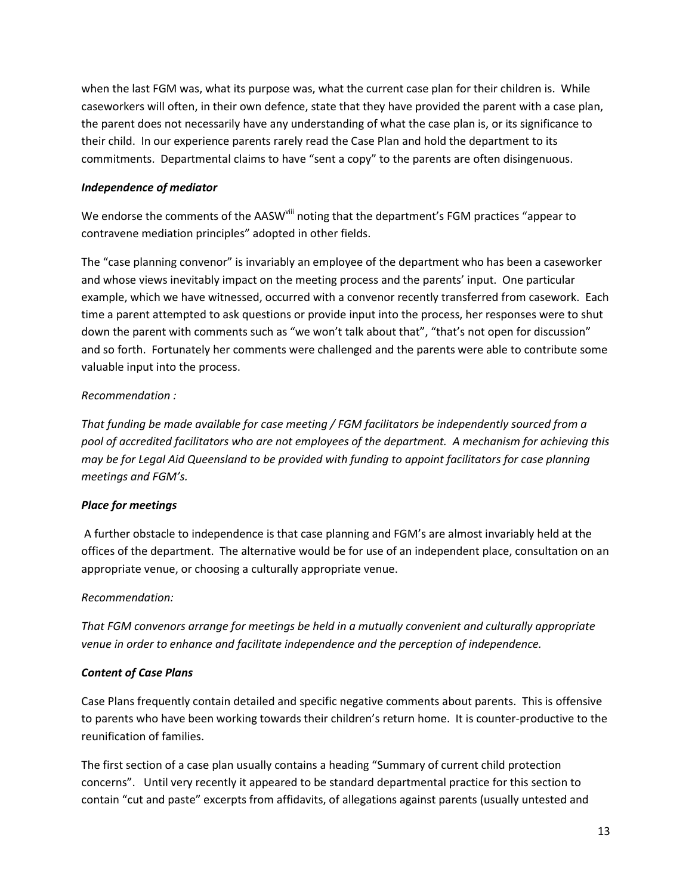when the last FGM was, what its purpose was, what the current case plan for their children is. While caseworkers will often, in their own defence, state that they have provided the parent with a case plan, the parent does not necessarily have any understanding of what the case plan is, or its significance to their child. In our experience parents rarely read the Case Plan and hold the department to its commitments. Departmental claims to have "sent a copy" to the parents are often disingenuous.

### *Independence of mediator*

We endorse the comments of the AASW<sup>viii</sup> noting that the department's FGM practices "appear to contravene mediation principles" adopted in other fields.

The "case planning convenor" is invariably an employee of the department who has been a caseworker and whose views inevitably impact on the meeting process and the parents' input. One particular example, which we have witnessed, occurred with a convenor recently transferred from casework. Each time a parent attempted to ask questions or provide input into the process, her responses were to shut down the parent with comments such as "we won't talk about that", "that's not open for discussion" and so forth. Fortunately her comments were challenged and the parents were able to contribute some valuable input into the process.

## *Recommendation :*

*That funding be made available for case meeting / FGM facilitators be independently sourced from a pool of accredited facilitators who are not employees of the department. A mechanism for achieving this may be for Legal Aid Queensland to be provided with funding to appoint facilitators for case planning meetings and FGM's.*

## *Place for meetings*

A further obstacle to independence is that case planning and FGM's are almost invariably held at the offices of the department. The alternative would be for use of an independent place, consultation on an appropriate venue, or choosing a culturally appropriate venue.

## *Recommendation:*

*That FGM convenors arrange for meetings be held in a mutually convenient and culturally appropriate venue in order to enhance and facilitate independence and the perception of independence.*

## *Content of Case Plans*

Case Plans frequently contain detailed and specific negative comments about parents. This is offensive to parents who have been working towards their children's return home. It is counter-productive to the reunification of families.

The first section of a case plan usually contains a heading "Summary of current child protection concerns". Until very recently it appeared to be standard departmental practice for this section to contain "cut and paste" excerpts from affidavits, of allegations against parents (usually untested and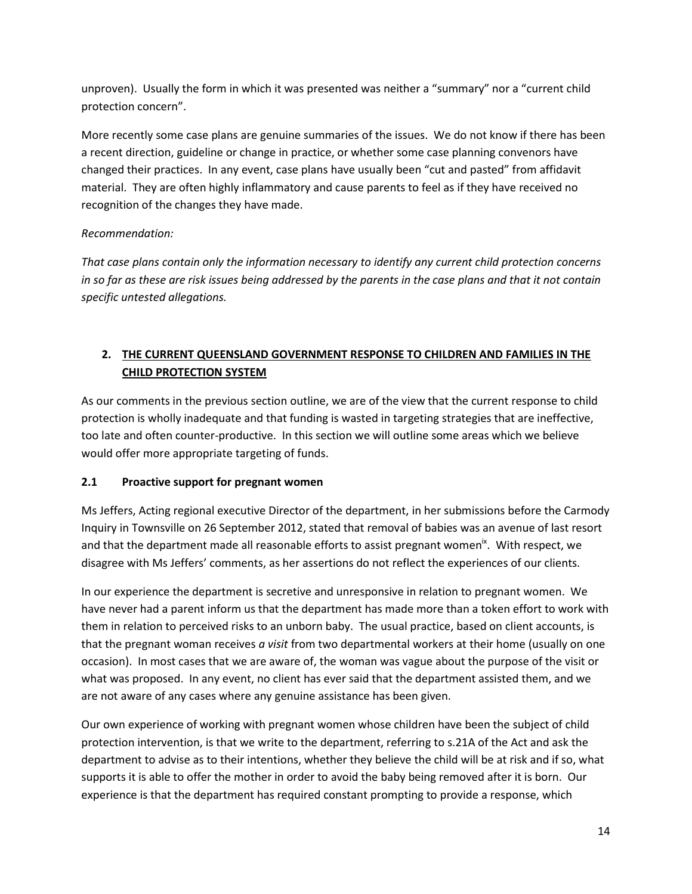unproven). Usually the form in which it was presented was neither a "summary" nor a "current child protection concern".

More recently some case plans are genuine summaries of the issues. We do not know if there has been a recent direction, guideline or change in practice, or whether some case planning convenors have changed their practices. In any event, case plans have usually been "cut and pasted" from affidavit material. They are often highly inflammatory and cause parents to feel as if they have received no recognition of the changes they have made.

## *Recommendation:*

*That case plans contain only the information necessary to identify any current child protection concerns in so far as these are risk issues being addressed by the parents in the case plans and that it not contain specific untested allegations.*

# **2. THE CURRENT QUEENSLAND GOVERNMENT RESPONSE TO CHILDREN AND FAMILIES IN THE CHILD PROTECTION SYSTEM**

As our comments in the previous section outline, we are of the view that the current response to child protection is wholly inadequate and that funding is wasted in targeting strategies that are ineffective, too late and often counter-productive. In this section we will outline some areas which we believe would offer more appropriate targeting of funds.

# **2.1 Proactive support for pregnant women**

Ms Jeffers, Acting regional executive Director of the department, in her submissions before the Carmody Inquiry in Townsville on 26 September 2012, stated that removal of babies was an avenue of last resort and that the department made all reasonable efforts to assist pregnant women<sup>ix</sup>. With respect, we disagree with Ms Jeffers' comments, as her assertions do not reflect the experiences of our clients.

In our experience the department is secretive and unresponsive in relation to pregnant women. We have never had a parent inform us that the department has made more than a token effort to work with them in relation to perceived risks to an unborn baby. The usual practice, based on client accounts, is that the pregnant woman receives *a visit* from two departmental workers at their home (usually on one occasion). In most cases that we are aware of, the woman was vague about the purpose of the visit or what was proposed. In any event, no client has ever said that the department assisted them, and we are not aware of any cases where any genuine assistance has been given.

Our own experience of working with pregnant women whose children have been the subject of child protection intervention, is that we write to the department, referring to s.21A of the Act and ask the department to advise as to their intentions, whether they believe the child will be at risk and if so, what supports it is able to offer the mother in order to avoid the baby being removed after it is born. Our experience is that the department has required constant prompting to provide a response, which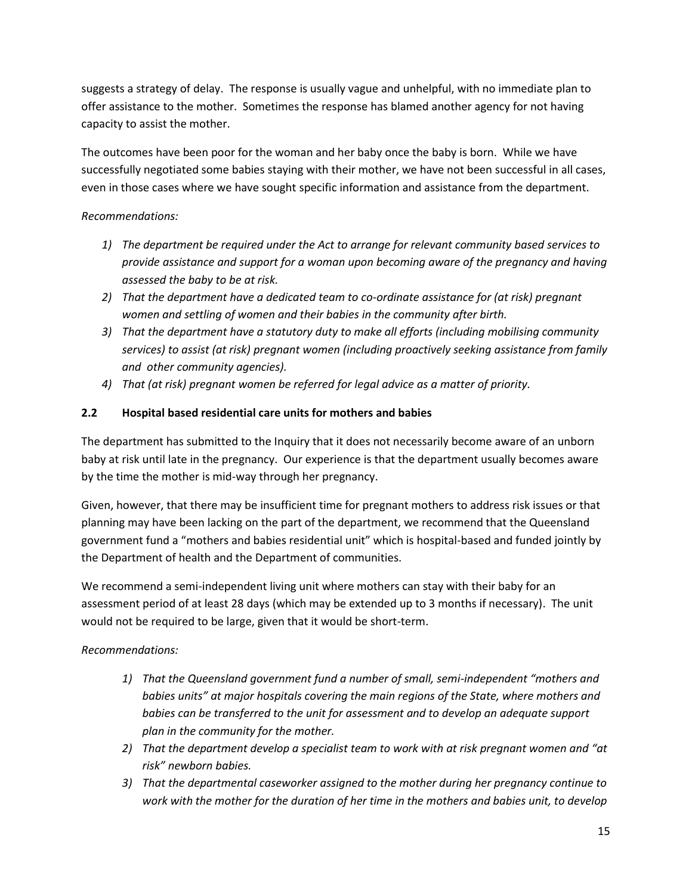suggests a strategy of delay. The response is usually vague and unhelpful, with no immediate plan to offer assistance to the mother. Sometimes the response has blamed another agency for not having capacity to assist the mother.

The outcomes have been poor for the woman and her baby once the baby is born. While we have successfully negotiated some babies staying with their mother, we have not been successful in all cases, even in those cases where we have sought specific information and assistance from the department.

## *Recommendations:*

- *1) The department be required under the Act to arrange for relevant community based services to provide assistance and support for a woman upon becoming aware of the pregnancy and having assessed the baby to be at risk.*
- *2) That the department have a dedicated team to co-ordinate assistance for (at risk) pregnant women and settling of women and their babies in the community after birth.*
- *3) That the department have a statutory duty to make all efforts (including mobilising community services) to assist (at risk) pregnant women (including proactively seeking assistance from family and other community agencies).*
- *4) That (at risk) pregnant women be referred for legal advice as a matter of priority.*

## **2.2 Hospital based residential care units for mothers and babies**

The department has submitted to the Inquiry that it does not necessarily become aware of an unborn baby at risk until late in the pregnancy. Our experience is that the department usually becomes aware by the time the mother is mid-way through her pregnancy.

Given, however, that there may be insufficient time for pregnant mothers to address risk issues or that planning may have been lacking on the part of the department, we recommend that the Queensland government fund a "mothers and babies residential unit" which is hospital-based and funded jointly by the Department of health and the Department of communities.

We recommend a semi-independent living unit where mothers can stay with their baby for an assessment period of at least 28 days (which may be extended up to 3 months if necessary). The unit would not be required to be large, given that it would be short-term.

## *Recommendations:*

- *1) That the Queensland government fund a number of small, semi-independent "mothers and babies units" at major hospitals covering the main regions of the State, where mothers and babies can be transferred to the unit for assessment and to develop an adequate support plan in the community for the mother.*
- *2) That the department develop a specialist team to work with at risk pregnant women and "at risk" newborn babies.*
- *3) That the departmental caseworker assigned to the mother during her pregnancy continue to work with the mother for the duration of her time in the mothers and babies unit, to develop*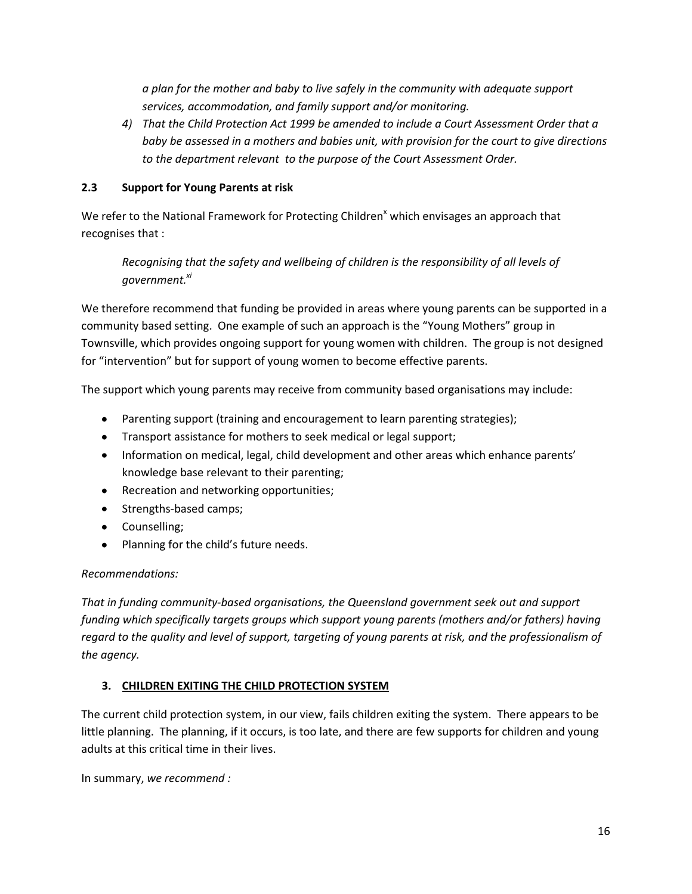*a plan for the mother and baby to live safely in the community with adequate support services, accommodation, and family support and/or monitoring.*

*4) That the Child Protection Act 1999 be amended to include a Court Assessment Order that a baby be assessed in a mothers and babies unit, with provision for the court to give directions to the department relevant to the purpose of the Court Assessment Order.*

## **2.3 Support for Young Parents at risk**

We refer to the National Framework for Protecting Children<sup>x</sup> which envisages an approach that recognises that :

*Recognising that the safety and wellbeing of children is the responsibility of all levels of government.xi*

We therefore recommend that funding be provided in areas where young parents can be supported in a community based setting. One example of such an approach is the "Young Mothers" group in Townsville, which provides ongoing support for young women with children. The group is not designed for "intervention" but for support of young women to become effective parents.

The support which young parents may receive from community based organisations may include:

- Parenting support (training and encouragement to learn parenting strategies);
- Transport assistance for mothers to seek medical or legal support;
- Information on medical, legal, child development and other areas which enhance parents' knowledge base relevant to their parenting;
- Recreation and networking opportunities;
- Strengths-based camps;
- Counselling;
- Planning for the child's future needs.

### *Recommendations:*

*That in funding community-based organisations, the Queensland government seek out and support funding which specifically targets groups which support young parents (mothers and/or fathers) having regard to the quality and level of support, targeting of young parents at risk, and the professionalism of the agency.*

### **3. CHILDREN EXITING THE CHILD PROTECTION SYSTEM**

The current child protection system, in our view, fails children exiting the system. There appears to be little planning. The planning, if it occurs, is too late, and there are few supports for children and young adults at this critical time in their lives.

In summary, *we recommend :*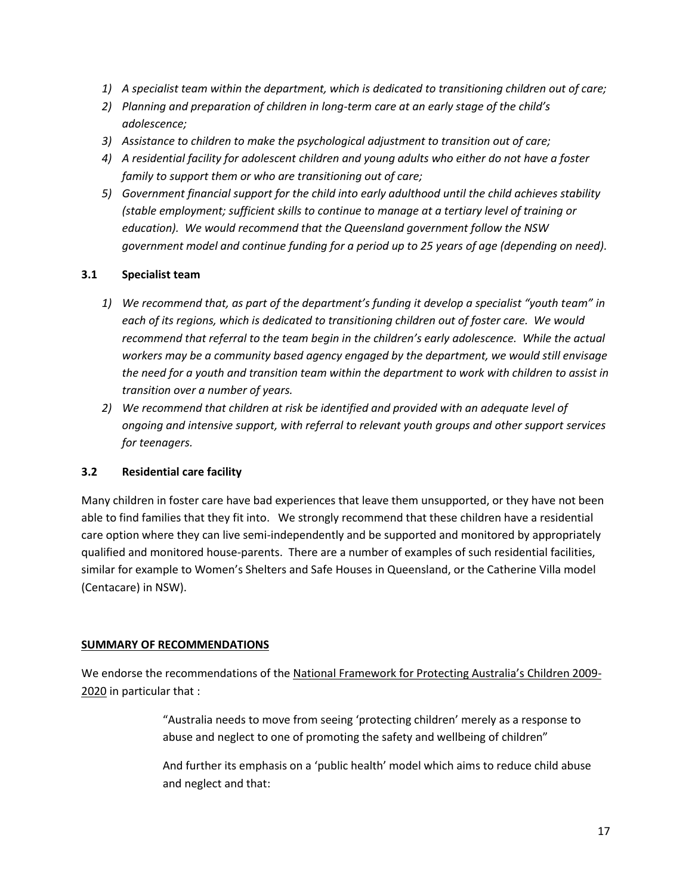- *1) A specialist team within the department, which is dedicated to transitioning children out of care;*
- *2) Planning and preparation of children in long-term care at an early stage of the child's adolescence;*
- *3) Assistance to children to make the psychological adjustment to transition out of care;*
- *4) A residential facility for adolescent children and young adults who either do not have a foster family to support them or who are transitioning out of care;*
- *5) Government financial support for the child into early adulthood until the child achieves stability (stable employment; sufficient skills to continue to manage at a tertiary level of training or education). We would recommend that the Queensland government follow the NSW government model and continue funding for a period up to 25 years of age (depending on need).*

### **3.1 Specialist team**

- *1) We recommend that, as part of the department's funding it develop a specialist "youth team" in each of its regions, which is dedicated to transitioning children out of foster care. We would recommend that referral to the team begin in the children's early adolescence. While the actual workers may be a community based agency engaged by the department, we would still envisage the need for a youth and transition team within the department to work with children to assist in transition over a number of years.*
- *2) We recommend that children at risk be identified and provided with an adequate level of ongoing and intensive support, with referral to relevant youth groups and other support services for teenagers.*

## **3.2 Residential care facility**

Many children in foster care have bad experiences that leave them unsupported, or they have not been able to find families that they fit into. We strongly recommend that these children have a residential care option where they can live semi-independently and be supported and monitored by appropriately qualified and monitored house-parents. There are a number of examples of such residential facilities, similar for example to Women's Shelters and Safe Houses in Queensland, or the Catherine Villa model (Centacare) in NSW).

### **SUMMARY OF RECOMMENDATIONS**

We endorse the recommendations of the National Framework for Protecting Australia's Children 2009- 2020 in particular that :

> "Australia needs to move from seeing 'protecting children' merely as a response to abuse and neglect to one of promoting the safety and wellbeing of children"

And further its emphasis on a 'public health' model which aims to reduce child abuse and neglect and that: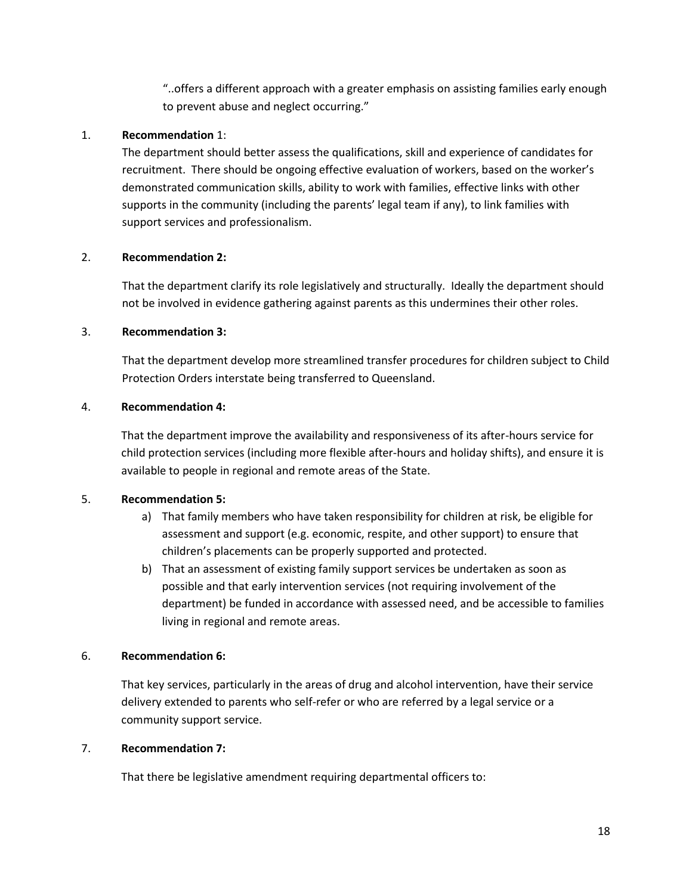"..offers a different approach with a greater emphasis on assisting families early enough to prevent abuse and neglect occurring."

### 1. **Recommendation** 1:

The department should better assess the qualifications, skill and experience of candidates for recruitment. There should be ongoing effective evaluation of workers, based on the worker's demonstrated communication skills, ability to work with families, effective links with other supports in the community (including the parents' legal team if any), to link families with support services and professionalism.

### 2. **Recommendation 2:**

That the department clarify its role legislatively and structurally. Ideally the department should not be involved in evidence gathering against parents as this undermines their other roles.

### 3. **Recommendation 3:**

That the department develop more streamlined transfer procedures for children subject to Child Protection Orders interstate being transferred to Queensland.

### 4. **Recommendation 4:**

That the department improve the availability and responsiveness of its after-hours service for child protection services (including more flexible after-hours and holiday shifts), and ensure it is available to people in regional and remote areas of the State.

## 5. **Recommendation 5:**

- a) That family members who have taken responsibility for children at risk, be eligible for assessment and support (e.g. economic, respite, and other support) to ensure that children's placements can be properly supported and protected.
- b) That an assessment of existing family support services be undertaken as soon as possible and that early intervention services (not requiring involvement of the department) be funded in accordance with assessed need, and be accessible to families living in regional and remote areas.

## 6. **Recommendation 6:**

That key services, particularly in the areas of drug and alcohol intervention, have their service delivery extended to parents who self-refer or who are referred by a legal service or a community support service.

### 7. **Recommendation 7:**

That there be legislative amendment requiring departmental officers to: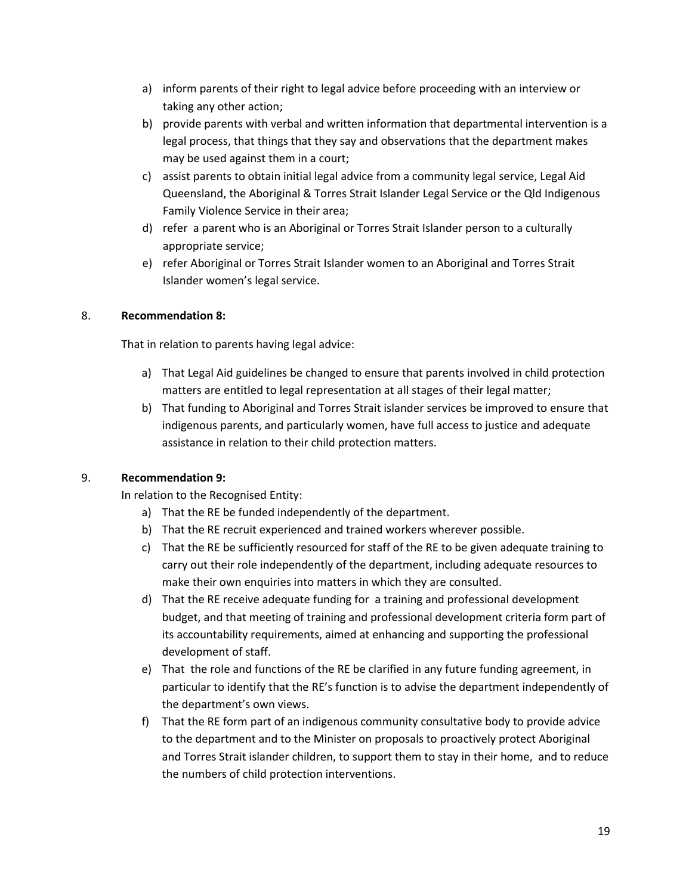- a) inform parents of their right to legal advice before proceeding with an interview or taking any other action;
- b) provide parents with verbal and written information that departmental intervention is a legal process, that things that they say and observations that the department makes may be used against them in a court;
- c) assist parents to obtain initial legal advice from a community legal service, Legal Aid Queensland, the Aboriginal & Torres Strait Islander Legal Service or the Qld Indigenous Family Violence Service in their area;
- d) refer a parent who is an Aboriginal or Torres Strait Islander person to a culturally appropriate service;
- e) refer Aboriginal or Torres Strait Islander women to an Aboriginal and Torres Strait Islander women's legal service.

## 8. **Recommendation 8:**

That in relation to parents having legal advice:

- a) That Legal Aid guidelines be changed to ensure that parents involved in child protection matters are entitled to legal representation at all stages of their legal matter;
- b) That funding to Aboriginal and Torres Strait islander services be improved to ensure that indigenous parents, and particularly women, have full access to justice and adequate assistance in relation to their child protection matters.

## 9. **Recommendation 9:**

In relation to the Recognised Entity:

- a) That the RE be funded independently of the department.
- b) That the RE recruit experienced and trained workers wherever possible.
- c) That the RE be sufficiently resourced for staff of the RE to be given adequate training to carry out their role independently of the department, including adequate resources to make their own enquiries into matters in which they are consulted.
- d) That the RE receive adequate funding for a training and professional development budget, and that meeting of training and professional development criteria form part of its accountability requirements, aimed at enhancing and supporting the professional development of staff.
- e) That the role and functions of the RE be clarified in any future funding agreement, in particular to identify that the RE's function is to advise the department independently of the department's own views.
- f) That the RE form part of an indigenous community consultative body to provide advice to the department and to the Minister on proposals to proactively protect Aboriginal and Torres Strait islander children, to support them to stay in their home, and to reduce the numbers of child protection interventions.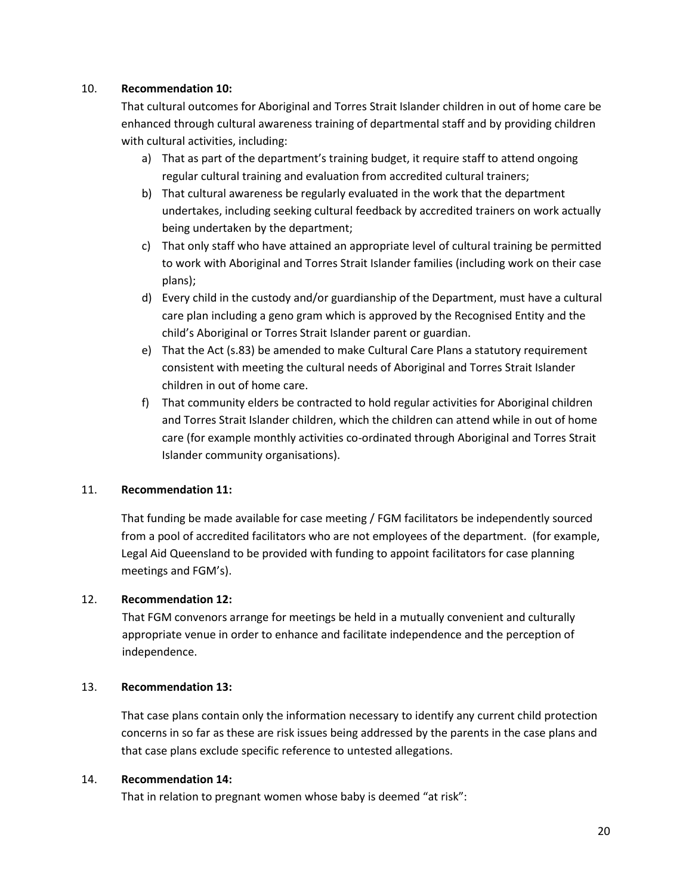### 10. **Recommendation 10:**

That cultural outcomes for Aboriginal and Torres Strait Islander children in out of home care be enhanced through cultural awareness training of departmental staff and by providing children with cultural activities, including:

- a) That as part of the department's training budget, it require staff to attend ongoing regular cultural training and evaluation from accredited cultural trainers;
- b) That cultural awareness be regularly evaluated in the work that the department undertakes, including seeking cultural feedback by accredited trainers on work actually being undertaken by the department;
- c) That only staff who have attained an appropriate level of cultural training be permitted to work with Aboriginal and Torres Strait Islander families (including work on their case plans);
- d) Every child in the custody and/or guardianship of the Department, must have a cultural care plan including a geno gram which is approved by the Recognised Entity and the child's Aboriginal or Torres Strait Islander parent or guardian.
- e) That the Act (s.83) be amended to make Cultural Care Plans a statutory requirement consistent with meeting the cultural needs of Aboriginal and Torres Strait Islander children in out of home care.
- f) That community elders be contracted to hold regular activities for Aboriginal children and Torres Strait Islander children, which the children can attend while in out of home care (for example monthly activities co-ordinated through Aboriginal and Torres Strait Islander community organisations).

## 11. **Recommendation 11:**

That funding be made available for case meeting / FGM facilitators be independently sourced from a pool of accredited facilitators who are not employees of the department. (for example, Legal Aid Queensland to be provided with funding to appoint facilitators for case planning meetings and FGM's).

### 12. **Recommendation 12:**

That FGM convenors arrange for meetings be held in a mutually convenient and culturally appropriate venue in order to enhance and facilitate independence and the perception of independence.

### 13. **Recommendation 13:**

That case plans contain only the information necessary to identify any current child protection concerns in so far as these are risk issues being addressed by the parents in the case plans and that case plans exclude specific reference to untested allegations.

### 14. **Recommendation 14:**

That in relation to pregnant women whose baby is deemed "at risk":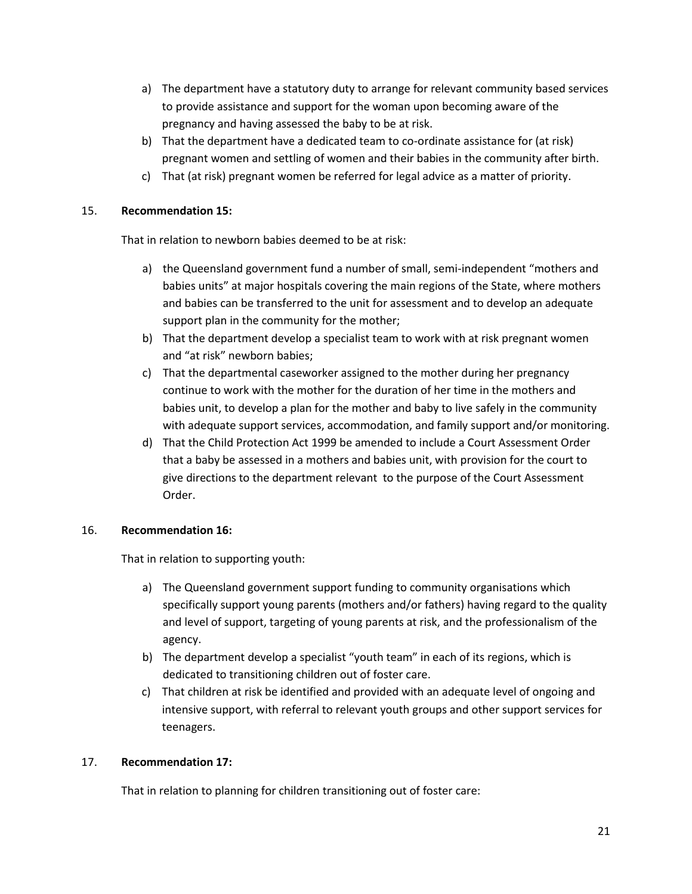- a) The department have a statutory duty to arrange for relevant community based services to provide assistance and support for the woman upon becoming aware of the pregnancy and having assessed the baby to be at risk.
- b) That the department have a dedicated team to co-ordinate assistance for (at risk) pregnant women and settling of women and their babies in the community after birth.
- c) That (at risk) pregnant women be referred for legal advice as a matter of priority.

### 15. **Recommendation 15:**

That in relation to newborn babies deemed to be at risk:

- a) the Queensland government fund a number of small, semi-independent "mothers and babies units" at major hospitals covering the main regions of the State, where mothers and babies can be transferred to the unit for assessment and to develop an adequate support plan in the community for the mother;
- b) That the department develop a specialist team to work with at risk pregnant women and "at risk" newborn babies;
- c) That the departmental caseworker assigned to the mother during her pregnancy continue to work with the mother for the duration of her time in the mothers and babies unit, to develop a plan for the mother and baby to live safely in the community with adequate support services, accommodation, and family support and/or monitoring.
- d) That the Child Protection Act 1999 be amended to include a Court Assessment Order that a baby be assessed in a mothers and babies unit, with provision for the court to give directions to the department relevant to the purpose of the Court Assessment Order.

### 16. **Recommendation 16:**

That in relation to supporting youth:

- a) The Queensland government support funding to community organisations which specifically support young parents (mothers and/or fathers) having regard to the quality and level of support, targeting of young parents at risk, and the professionalism of the agency.
- b) The department develop a specialist "youth team" in each of its regions, which is dedicated to transitioning children out of foster care.
- c) That children at risk be identified and provided with an adequate level of ongoing and intensive support, with referral to relevant youth groups and other support services for teenagers.

### 17. **Recommendation 17:**

That in relation to planning for children transitioning out of foster care: